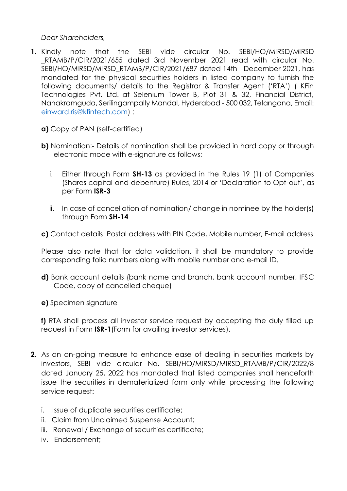*Dear Shareholders,*

- **1.** Kindly note that the SEBI vide circular No. SEBI/HO/MIRSD/MIRSD \_RTAMB/P/CIR/2021/655 dated 3rd November 2021 read with circular No. SEBI/HO/MIRSD/MIRSD\_RTAMB/P/CIR/2021/687 dated 14th December 2021, has mandated for the physical securities holders in listed company to furnish the following documents/ details to the Registrar & Transfer Agent ('RTA') ( KFin Technologies Pvt. Ltd. at Selenium Tower B, Plot 31 & 32, Financial District, Nanakramguda, Serilingampally Mandal, Hyderabad - 500 032, Telangana, Email: [einward.ris@kfintech.com\)](mailto:einward.ris@kfintech.com) :
	- **a)** Copy of PAN (self-certified)
	- **b)** Nomination:- Details of nomination shall be provided in hard copy or through electronic mode with e-signature as follows:
		- i. Either through [Form](https://www.sebi.gov.in/sebi_data/commondocs/nov-2021/Form%20No.%20SH-13_p.pdf) **SH-13** as provided in the Rules 19 (1) of Companies (Shares capital and debenture) Rules, 2014 or 'Declaration to Opt-out', as per [Form](https://www.sebi.gov.in/sebi_data/commondocs/nov-2021/Form%20ISR-3_p.pdf) **ISR-3**
		- ii. In case of cancellation of nomination/ change in nominee by the holder(s) through Form **[SH-14](https://www.sebi.gov.in/sebi_data/commondocs/nov-2021/Form%20No.%20SH-14_p.pdf)**

**c)** Contact details: Postal address with PIN Code, Mobile number, E-mail address

Please also note that for data validation, it shall be mandatory to provide corresponding folio numbers along with mobile number and e-mail ID.

- **d)** Bank account details (bank name and branch, bank account number, IFSC Code, copy of cancelled cheque)
- **e)** Specimen signature

**f)** RTA shall process all investor service request by accepting the duly filled up request in [Form](https://www.sebi.gov.in/sebi_data/commondocs/nov-2021/Form%20ISR-1_p.pdf) **ISR-1**(Form for availing investor services).

- **2.** As an on-going measure to enhance ease of dealing in securities markets by investors, SEBI vide circular No. SEBI/HO/MIRSD/MIRSD\_RTAMB/P/CIR/2022/8 dated January 25, 2022 has mandated that listed companies shall henceforth issue the securities in dematerialized form only while processing the following service request:
	- i. Issue of duplicate securities certificate;
	- ii. Claim from Unclaimed Suspense Account;
	- iii. Renewal / Exchange of securities certificate;
	- iv. Endorsement;